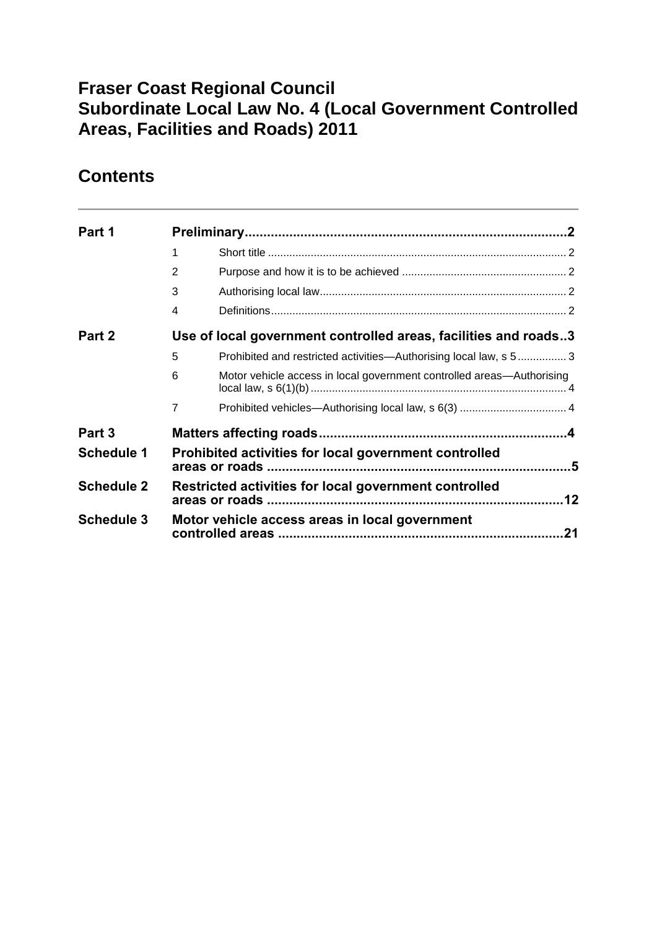## **Fraser Coast Regional Council Subordinate Local Law No. 4 (Local Government Controlled Areas, Facilities and Roads) 2011**

# **Contents**

| Part 1            |                |                                                                       |    |
|-------------------|----------------|-----------------------------------------------------------------------|----|
|                   | 1              |                                                                       |    |
|                   | $\overline{2}$ |                                                                       |    |
|                   | 3              |                                                                       |    |
|                   | 4              |                                                                       |    |
| Part 2            |                | Use of local government controlled areas, facilities and roads3       |    |
|                   | 5              | Prohibited and restricted activities—Authorising local law, s 53      |    |
|                   | 6              | Motor vehicle access in local government controlled areas-Authorising |    |
|                   | 7              |                                                                       |    |
| Part 3            |                |                                                                       |    |
| <b>Schedule 1</b> |                | Prohibited activities for local government controlled                 |    |
| <b>Schedule 2</b> |                | Restricted activities for local government controlled                 |    |
| <b>Schedule 3</b> |                | Motor vehicle access areas in local government                        | 21 |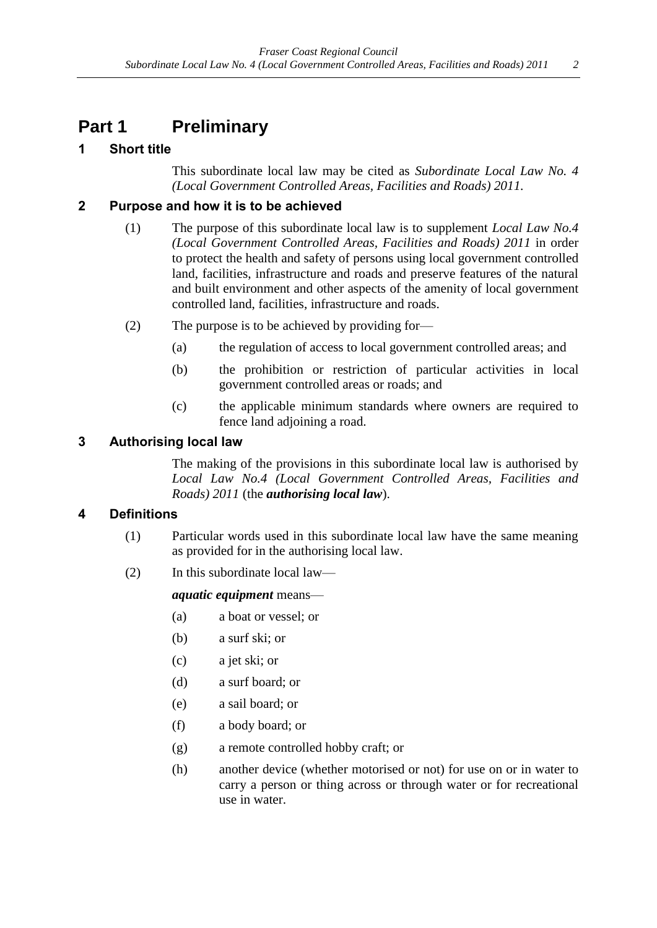# <span id="page-1-0"></span>**Part 1 Preliminary**

## <span id="page-1-1"></span>**1 Short title**

This subordinate local law may be cited as *Subordinate Local Law No. 4 (Local Government Controlled Areas, Facilities and Roads) 2011.*

### <span id="page-1-2"></span>**2 Purpose and how it is to be achieved**

- (1) The purpose of this subordinate local law is to supplement *Local Law No.4 (Local Government Controlled Areas, Facilities and Roads) 2011* in order to protect the health and safety of persons using local government controlled land, facilities, infrastructure and roads and preserve features of the natural and built environment and other aspects of the amenity of local government controlled land, facilities, infrastructure and roads.
- (2) The purpose is to be achieved by providing for—
	- (a) the regulation of access to local government controlled areas; and
	- (b) the prohibition or restriction of particular activities in local government controlled areas or roads; and
	- (c) the applicable minimum standards where owners are required to fence land adjoining a road.

### <span id="page-1-3"></span>**3 Authorising local law**

The making of the provisions in this subordinate local law is authorised by *Local Law No.4 (Local Government Controlled Areas, Facilities and Roads) 2011* (the *authorising local law*).

### <span id="page-1-4"></span>**4 Definitions**

- (1) Particular words used in this subordinate local law have the same meaning as provided for in the authorising local law.
- (2) In this subordinate local law—

### *aquatic equipment* means—

- (a) a boat or vessel; or
- (b) a surf ski; or
- (c) a jet ski; or
- (d) a surf board; or
- (e) a sail board; or
- (f) a body board; or
- (g) a remote controlled hobby craft; or
- (h) another device (whether motorised or not) for use on or in water to carry a person or thing across or through water or for recreational use in water.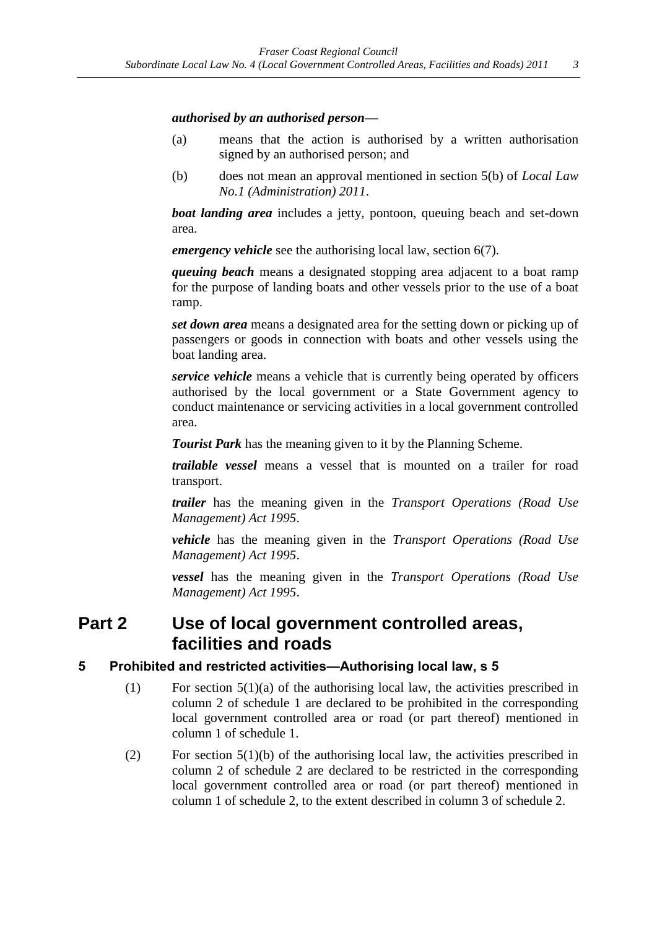#### *authorised by an authorised person—*

- (a) means that the action is authorised by a written authorisation signed by an authorised person; and
- (b) does not mean an approval mentioned in section 5(b) of *Local Law No.1 (Administration) 2011*.

*boat landing area* includes a jetty, pontoon, queuing beach and set-down area.

*emergency vehicle* see the authorising local law, section 6(7).

*queuing beach* means a designated stopping area adjacent to a boat ramp for the purpose of landing boats and other vessels prior to the use of a boat ramp.

*set down area* means a designated area for the setting down or picking up of passengers or goods in connection with boats and other vessels using the boat landing area.

*service vehicle* means a vehicle that is currently being operated by officers authorised by the local government or a State Government agency to conduct maintenance or servicing activities in a local government controlled area.

*Tourist Park* has the meaning given to it by the Planning Scheme.

*trailable vessel* means a vessel that is mounted on a trailer for road transport.

*trailer* has the meaning given in the *Transport Operations (Road Use Management) Act 1995*.

*vehicle* has the meaning given in the *Transport Operations (Road Use Management) Act 1995*.

*vessel* has the meaning given in the *Transport Operations (Road Use Management) Act 1995*.

## <span id="page-2-0"></span>**Part 2 Use of local government controlled areas, facilities and roads**

### <span id="page-2-1"></span>**5 Prohibited and restricted activities—Authorising local law, s 5**

- (1) For section  $5(1)(a)$  of the authorising local law, the activities prescribed in column 2 of schedule 1 are declared to be prohibited in the corresponding local government controlled area or road (or part thereof) mentioned in column 1 of schedule 1.
- (2) For section 5(1)(b) of the authorising local law, the activities prescribed in column 2 of schedule 2 are declared to be restricted in the corresponding local government controlled area or road (or part thereof) mentioned in column 1 of schedule 2, to the extent described in column 3 of schedule 2.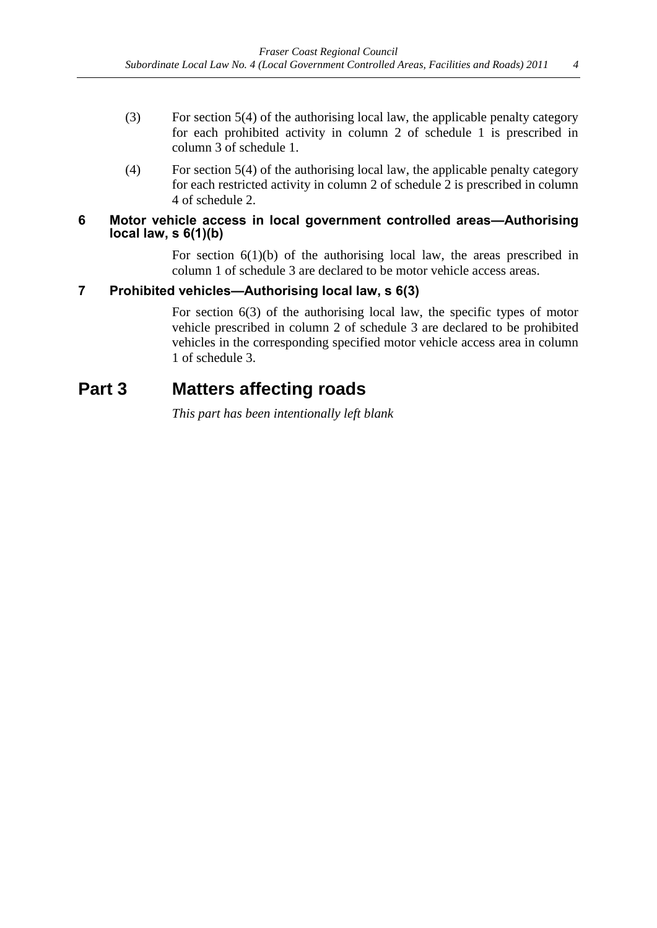- (3) For section 5(4) of the authorising local law, the applicable penalty category for each prohibited activity in column 2 of schedule 1 is prescribed in column 3 of schedule 1.
- (4) For section 5(4) of the authorising local law, the applicable penalty category for each restricted activity in column 2 of schedule 2 is prescribed in column 4 of schedule 2.

#### <span id="page-3-0"></span>**6 Motor vehicle access in local government controlled areas—Authorising local law, s 6(1)(b)**

For section  $6(1)(b)$  of the authorising local law, the areas prescribed in column 1 of schedule 3 are declared to be motor vehicle access areas.

### <span id="page-3-1"></span>**7 Prohibited vehicles—Authorising local law, s 6(3)**

For section 6(3) of the authorising local law, the specific types of motor vehicle prescribed in column 2 of schedule 3 are declared to be prohibited vehicles in the corresponding specified motor vehicle access area in column 1 of schedule 3.

## <span id="page-3-2"></span>**Part 3 Matters affecting roads**

*This part has been intentionally left blank*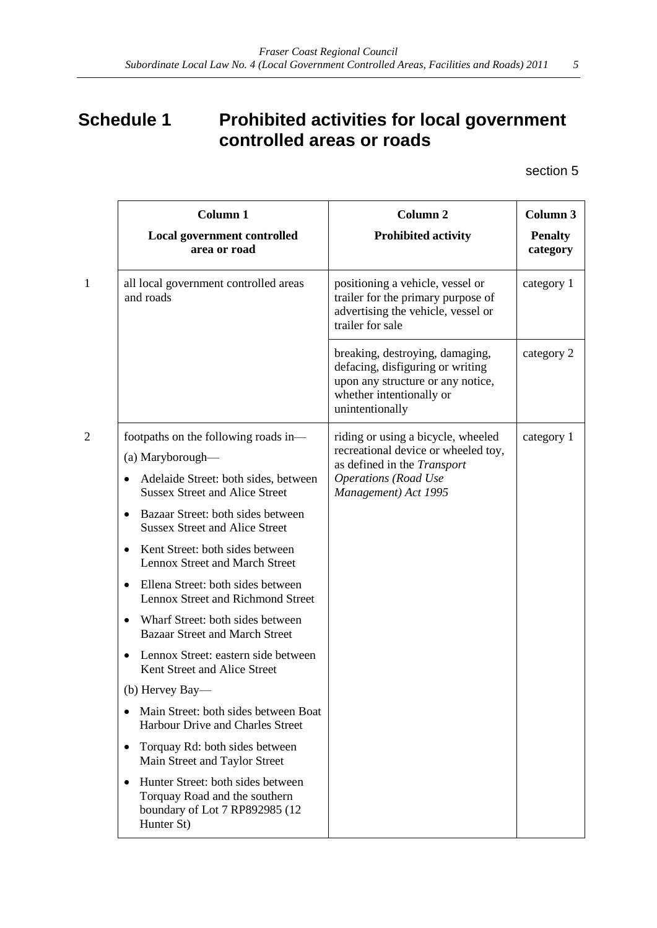# <span id="page-4-0"></span>**Schedule 1 Prohibited activities for local government controlled areas or roads**

section 5

| <b>Column 1</b>                                                                                                    | <b>Column 2</b>                                                                                                                                         | Column 3                   |
|--------------------------------------------------------------------------------------------------------------------|---------------------------------------------------------------------------------------------------------------------------------------------------------|----------------------------|
| Local government controlled<br>area or road                                                                        | <b>Prohibited activity</b>                                                                                                                              | <b>Penalty</b><br>category |
| all local government controlled areas<br>and roads                                                                 | positioning a vehicle, vessel or<br>trailer for the primary purpose of<br>advertising the vehicle, vessel or<br>trailer for sale                        | category 1                 |
|                                                                                                                    | breaking, destroying, damaging,<br>defacing, disfiguring or writing<br>upon any structure or any notice,<br>whether intentionally or<br>unintentionally | category 2                 |
| footpaths on the following roads in-<br>(a) Maryborough—                                                           | riding or using a bicycle, wheeled<br>recreational device or wheeled toy,                                                                               | category 1                 |
| Adelaide Street: both sides, between<br><b>Sussex Street and Alice Street</b>                                      | as defined in the Transport<br><b>Operations</b> (Road Use<br>Management) Act 1995                                                                      |                            |
| Bazaar Street: both sides between<br>٠<br><b>Sussex Street and Alice Street</b>                                    |                                                                                                                                                         |                            |
| Kent Street: both sides between<br>Lennox Street and March Street                                                  |                                                                                                                                                         |                            |
| Ellena Street: both sides between<br>Lennox Street and Richmond Street                                             |                                                                                                                                                         |                            |
| Wharf Street: both sides between<br>٠<br><b>Bazaar Street and March Street</b>                                     |                                                                                                                                                         |                            |
| Lennox Street: eastern side between<br>Kent Street and Alice Street                                                |                                                                                                                                                         |                            |
| (b) Hervey Bay-                                                                                                    |                                                                                                                                                         |                            |
| Main Street: both sides between Boat<br>Harbour Drive and Charles Street                                           |                                                                                                                                                         |                            |
| Torquay Rd: both sides between<br>٠<br>Main Street and Taylor Street                                               |                                                                                                                                                         |                            |
| Hunter Street: both sides between<br>Torquay Road and the southern<br>boundary of Lot 7 RP892985 (12<br>Hunter St) |                                                                                                                                                         |                            |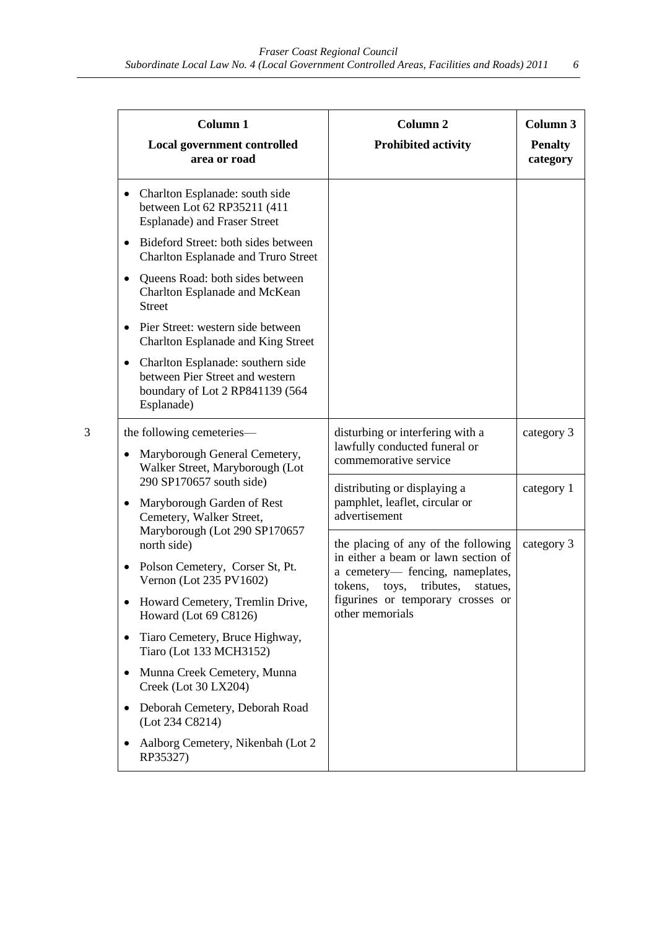|           | <b>Column 1</b><br><b>Local government controlled</b><br>area or road                                                                                                                                                                                                                                                                                                                                                                                                                                                                                                                                                                                                                                                                                                                                                                                                                                                                                                                                                                                                                                                                                                                                                       | Column <sub>2</sub><br><b>Prohibited activity</b> | Column 3<br><b>Penalty</b><br>category |
|-----------|-----------------------------------------------------------------------------------------------------------------------------------------------------------------------------------------------------------------------------------------------------------------------------------------------------------------------------------------------------------------------------------------------------------------------------------------------------------------------------------------------------------------------------------------------------------------------------------------------------------------------------------------------------------------------------------------------------------------------------------------------------------------------------------------------------------------------------------------------------------------------------------------------------------------------------------------------------------------------------------------------------------------------------------------------------------------------------------------------------------------------------------------------------------------------------------------------------------------------------|---------------------------------------------------|----------------------------------------|
|           | Charlton Esplanade: south side<br>between Lot 62 RP35211 (411                                                                                                                                                                                                                                                                                                                                                                                                                                                                                                                                                                                                                                                                                                                                                                                                                                                                                                                                                                                                                                                                                                                                                               |                                                   |                                        |
| ٠         |                                                                                                                                                                                                                                                                                                                                                                                                                                                                                                                                                                                                                                                                                                                                                                                                                                                                                                                                                                                                                                                                                                                                                                                                                             |                                                   |                                        |
|           |                                                                                                                                                                                                                                                                                                                                                                                                                                                                                                                                                                                                                                                                                                                                                                                                                                                                                                                                                                                                                                                                                                                                                                                                                             |                                                   |                                        |
|           |                                                                                                                                                                                                                                                                                                                                                                                                                                                                                                                                                                                                                                                                                                                                                                                                                                                                                                                                                                                                                                                                                                                                                                                                                             |                                                   |                                        |
| $\bullet$ |                                                                                                                                                                                                                                                                                                                                                                                                                                                                                                                                                                                                                                                                                                                                                                                                                                                                                                                                                                                                                                                                                                                                                                                                                             |                                                   |                                        |
| 3         |                                                                                                                                                                                                                                                                                                                                                                                                                                                                                                                                                                                                                                                                                                                                                                                                                                                                                                                                                                                                                                                                                                                                                                                                                             | disturbing or interfering with a                  | category 3                             |
| ٠         | <b>Esplanade) and Fraser Street</b><br>Bideford Street: both sides between<br>Charlton Esplanade and Truro Street<br>Queens Road: both sides between<br>Charlton Esplanade and McKean<br><b>Street</b><br>Pier Street: western side between<br>Charlton Esplanade and King Street<br>Charlton Esplanade: southern side<br>between Pier Street and western<br>boundary of Lot 2 RP841139 (564<br>Esplanade)<br>the following cemeteries—<br>lawfully conducted funeral or<br>Maryborough General Cemetery,<br>commemorative service<br>Walker Street, Maryborough (Lot<br>290 SP170657 south side)<br>distributing or displaying a<br>pamphlet, leaflet, circular or<br>Maryborough Garden of Rest<br>advertisement<br>Cemetery, Walker Street,<br>Maryborough (Lot 290 SP170657<br>the placing of any of the following<br>north side)<br>in either a beam or lawn section of<br>Polson Cemetery, Corser St, Pt.<br>$\bullet$<br>a cemetery— fencing, nameplates,<br>Vernon (Lot 235 PV1602)<br>toys, tributes,<br>tokens,<br>statues,<br>figurines or temporary crosses or<br>Howard Cemetery, Tremlin Drive,<br>other memorials<br>Howard (Lot 69 C8126)<br>Tiaro Cemetery, Bruce Highway,<br>٠<br>Tiaro (Lot 133 MCH3152) |                                                   |                                        |
|           |                                                                                                                                                                                                                                                                                                                                                                                                                                                                                                                                                                                                                                                                                                                                                                                                                                                                                                                                                                                                                                                                                                                                                                                                                             |                                                   | category 1                             |
|           |                                                                                                                                                                                                                                                                                                                                                                                                                                                                                                                                                                                                                                                                                                                                                                                                                                                                                                                                                                                                                                                                                                                                                                                                                             | category 3                                        |                                        |
|           |                                                                                                                                                                                                                                                                                                                                                                                                                                                                                                                                                                                                                                                                                                                                                                                                                                                                                                                                                                                                                                                                                                                                                                                                                             |                                                   |                                        |
|           |                                                                                                                                                                                                                                                                                                                                                                                                                                                                                                                                                                                                                                                                                                                                                                                                                                                                                                                                                                                                                                                                                                                                                                                                                             |                                                   |                                        |
|           |                                                                                                                                                                                                                                                                                                                                                                                                                                                                                                                                                                                                                                                                                                                                                                                                                                                                                                                                                                                                                                                                                                                                                                                                                             |                                                   |                                        |
| $\bullet$ | Munna Creek Cemetery, Munna<br>Creek (Lot 30 LX204)                                                                                                                                                                                                                                                                                                                                                                                                                                                                                                                                                                                                                                                                                                                                                                                                                                                                                                                                                                                                                                                                                                                                                                         |                                                   |                                        |
| ٠         | Deborah Cemetery, Deborah Road<br>(Lot 234 C8214)                                                                                                                                                                                                                                                                                                                                                                                                                                                                                                                                                                                                                                                                                                                                                                                                                                                                                                                                                                                                                                                                                                                                                                           |                                                   |                                        |
| RP35327)  | Aalborg Cemetery, Nikenbah (Lot 2)                                                                                                                                                                                                                                                                                                                                                                                                                                                                                                                                                                                                                                                                                                                                                                                                                                                                                                                                                                                                                                                                                                                                                                                          |                                                   |                                        |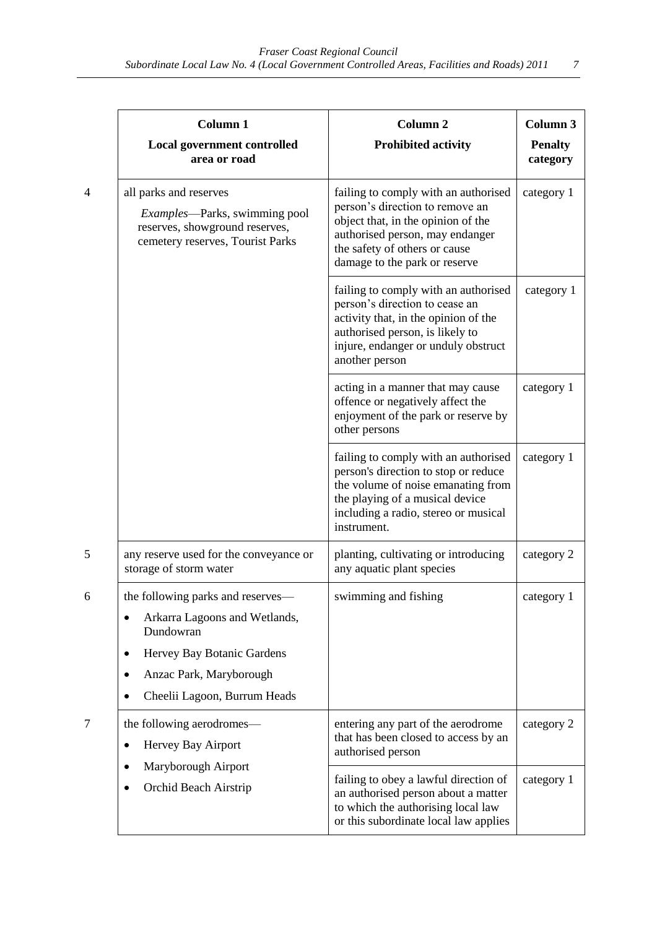|                          | <b>Column 1</b>                                                                                                                                                               | Column <sub>2</sub>                                                                                                                                                                                                | Column 3                   |
|--------------------------|-------------------------------------------------------------------------------------------------------------------------------------------------------------------------------|--------------------------------------------------------------------------------------------------------------------------------------------------------------------------------------------------------------------|----------------------------|
|                          | <b>Local government controlled</b><br>area or road                                                                                                                            | <b>Prohibited activity</b>                                                                                                                                                                                         | <b>Penalty</b><br>category |
| $\overline{\mathcal{A}}$ | all parks and reserves<br><i>Examples</i> —Parks, swimming pool<br>reserves, showground reserves,<br>cemetery reserves, Tourist Parks                                         | failing to comply with an authorised<br>person's direction to remove an<br>object that, in the opinion of the<br>authorised person, may endanger<br>the safety of others or cause<br>damage to the park or reserve | category 1                 |
|                          |                                                                                                                                                                               | failing to comply with an authorised<br>person's direction to cease an<br>activity that, in the opinion of the<br>authorised person, is likely to<br>injure, endanger or unduly obstruct<br>another person         | category 1                 |
|                          |                                                                                                                                                                               | acting in a manner that may cause<br>offence or negatively affect the<br>enjoyment of the park or reserve by<br>other persons                                                                                      | category 1                 |
|                          |                                                                                                                                                                               | failing to comply with an authorised<br>person's direction to stop or reduce<br>the volume of noise emanating from<br>the playing of a musical device<br>including a radio, stereo or musical<br>instrument.       | category 1                 |
| 5                        | any reserve used for the conveyance or<br>storage of storm water                                                                                                              | planting, cultivating or introducing<br>any aquatic plant species                                                                                                                                                  | category 2                 |
| 6                        | the following parks and reserves-<br>Arkarra Lagoons and Wetlands,<br>Dundowran<br>Hervey Bay Botanic Gardens<br>٠<br>Anzac Park, Maryborough<br>Cheelii Lagoon, Burrum Heads | swimming and fishing                                                                                                                                                                                               | category 1                 |
| 7                        | the following aerodromes—<br>Hervey Bay Airport                                                                                                                               | entering any part of the aerodrome<br>that has been closed to access by an<br>authorised person                                                                                                                    | category 2                 |
|                          | Maryborough Airport<br>Orchid Beach Airstrip                                                                                                                                  | failing to obey a lawful direction of<br>an authorised person about a matter<br>to which the authorising local law<br>or this subordinate local law applies                                                        | category 1                 |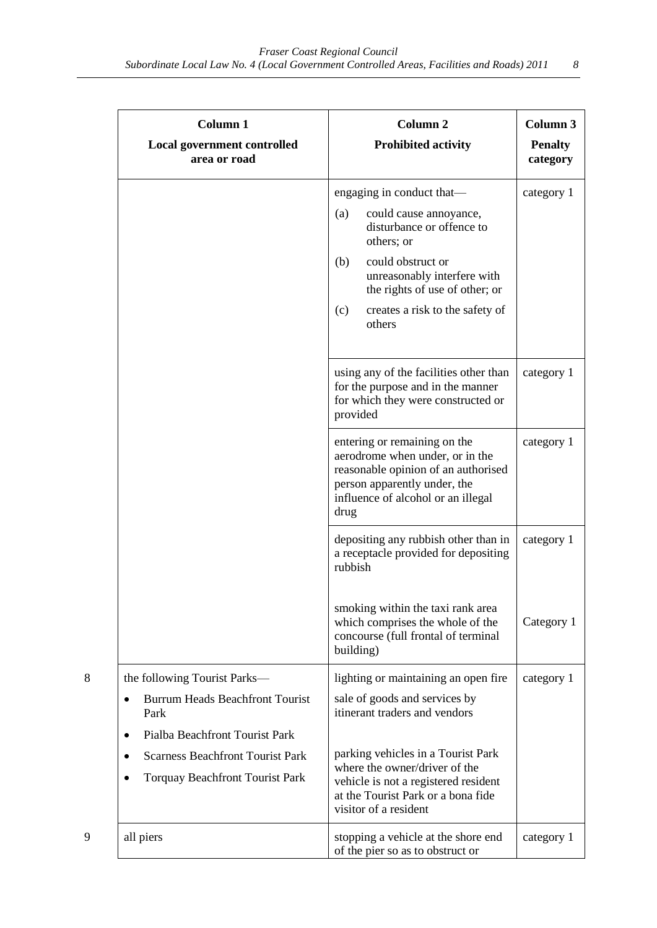| <b>Column 1</b><br><b>Local government controlled</b><br>area or road                                                              | <b>Column 2</b><br><b>Prohibited activity</b>                                                                                                                                                                                                          | Column 3<br><b>Penalty</b><br>category |
|------------------------------------------------------------------------------------------------------------------------------------|--------------------------------------------------------------------------------------------------------------------------------------------------------------------------------------------------------------------------------------------------------|----------------------------------------|
|                                                                                                                                    | engaging in conduct that—<br>could cause annoyance,<br>(a)<br>disturbance or offence to<br>others; or<br>could obstruct or<br>(b)<br>unreasonably interfere with<br>the rights of use of other; or<br>creates a risk to the safety of<br>(c)<br>others | category 1                             |
|                                                                                                                                    | using any of the facilities other than<br>for the purpose and in the manner<br>for which they were constructed or<br>provided                                                                                                                          | category 1                             |
|                                                                                                                                    | entering or remaining on the<br>aerodrome when under, or in the<br>reasonable opinion of an authorised<br>person apparently under, the<br>influence of alcohol or an illegal<br>drug                                                                   | category 1                             |
|                                                                                                                                    | depositing any rubbish other than in<br>a receptacle provided for depositing<br>rubbish                                                                                                                                                                | category 1                             |
|                                                                                                                                    | smoking within the taxi rank area<br>which comprises the whole of the<br>concourse (full frontal of terminal<br>building)                                                                                                                              | Category 1                             |
| the following Tourist Parks-<br>8<br><b>Burrum Heads Beachfront Tourist</b><br>$\bullet$<br>Park<br>Pialba Beachfront Tourist Park | lighting or maintaining an open fire<br>sale of goods and services by<br>itinerant traders and vendors                                                                                                                                                 | category 1                             |
| <b>Scarness Beachfront Tourist Park</b><br><b>Torquay Beachfront Tourist Park</b>                                                  | parking vehicles in a Tourist Park<br>where the owner/driver of the<br>vehicle is not a registered resident<br>at the Tourist Park or a bona fide<br>visitor of a resident                                                                             |                                        |
| 9<br>all piers                                                                                                                     | stopping a vehicle at the shore end<br>of the pier so as to obstruct or                                                                                                                                                                                | category 1                             |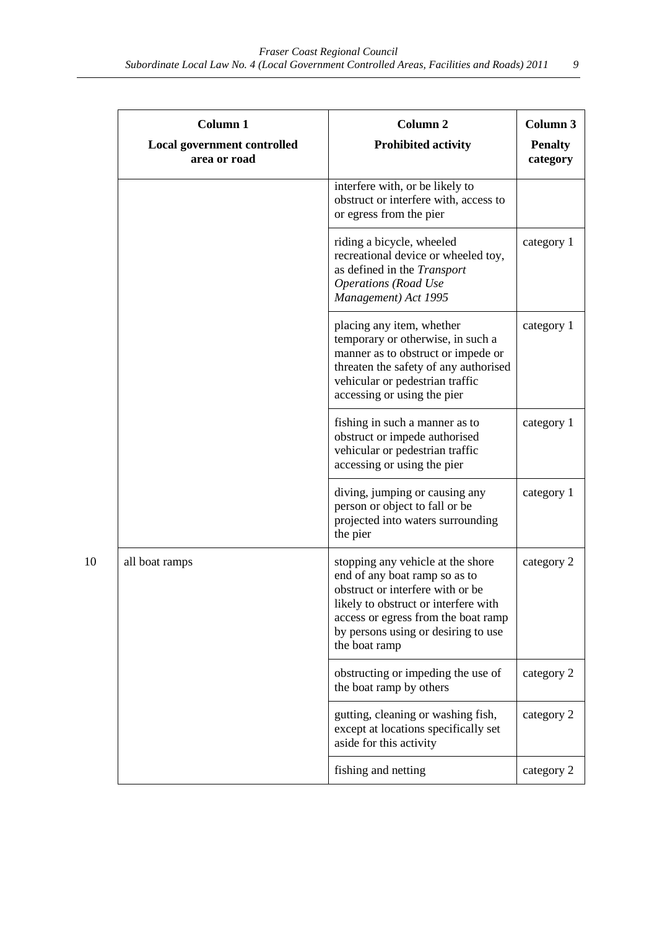|    | <b>Column 1</b>                                    | Column <sub>2</sub>                                                                                                                                                                                                                           | Column 3                   |
|----|----------------------------------------------------|-----------------------------------------------------------------------------------------------------------------------------------------------------------------------------------------------------------------------------------------------|----------------------------|
|    | <b>Local government controlled</b><br>area or road | <b>Prohibited activity</b>                                                                                                                                                                                                                    | <b>Penalty</b><br>category |
|    |                                                    | interfere with, or be likely to<br>obstruct or interfere with, access to<br>or egress from the pier                                                                                                                                           |                            |
|    |                                                    | riding a bicycle, wheeled<br>recreational device or wheeled toy,<br>as defined in the Transport<br><b>Operations</b> (Road Use<br>Management) Act 1995                                                                                        | category 1                 |
|    |                                                    | placing any item, whether<br>temporary or otherwise, in such a<br>manner as to obstruct or impede or<br>threaten the safety of any authorised<br>vehicular or pedestrian traffic<br>accessing or using the pier                               | category 1                 |
|    |                                                    | fishing in such a manner as to<br>obstruct or impede authorised<br>vehicular or pedestrian traffic<br>accessing or using the pier                                                                                                             | category 1                 |
|    |                                                    | diving, jumping or causing any<br>person or object to fall or be<br>projected into waters surrounding<br>the pier                                                                                                                             | category 1                 |
| 10 | all boat ramps                                     | stopping any vehicle at the shore<br>end of any boat ramp so as to<br>obstruct or interfere with or be<br>likely to obstruct or interfere with<br>access or egress from the boat ramp<br>by persons using or desiring to use<br>the boat ramp | category 2                 |
|    |                                                    | obstructing or impeding the use of<br>the boat ramp by others                                                                                                                                                                                 | category 2                 |
|    |                                                    | gutting, cleaning or washing fish,<br>except at locations specifically set<br>aside for this activity                                                                                                                                         | category 2                 |
|    |                                                    | fishing and netting                                                                                                                                                                                                                           | category 2                 |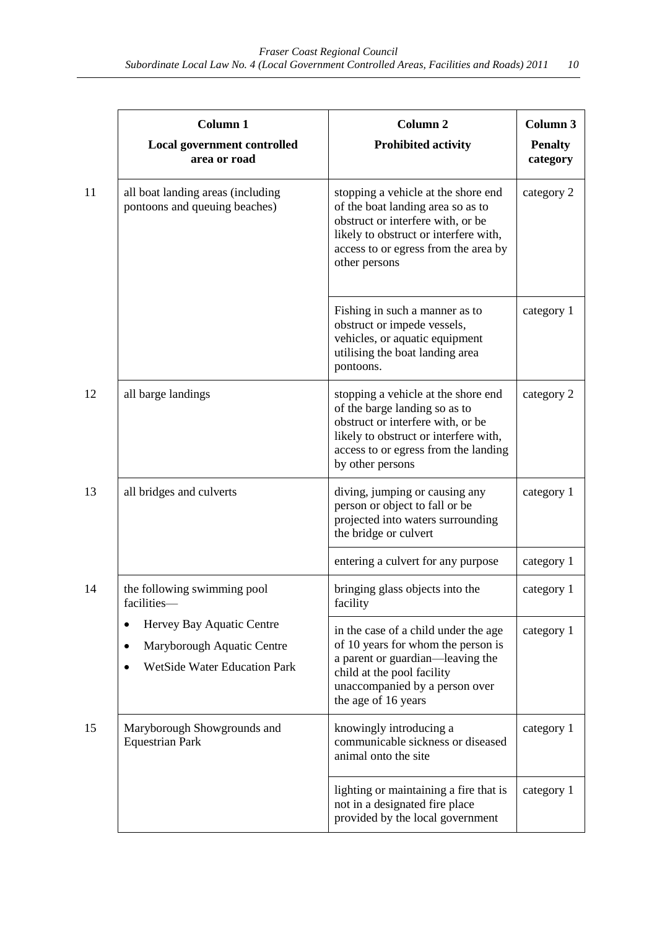|    | Column 1                                                                                                                              | Column <sub>2</sub>                                                                                                                                                                                             | Column 3                   |
|----|---------------------------------------------------------------------------------------------------------------------------------------|-----------------------------------------------------------------------------------------------------------------------------------------------------------------------------------------------------------------|----------------------------|
|    | <b>Local government controlled</b><br>area or road                                                                                    | <b>Prohibited activity</b>                                                                                                                                                                                      | <b>Penalty</b><br>category |
| 11 | all boat landing areas (including<br>pontoons and queuing beaches)                                                                    | stopping a vehicle at the shore end<br>of the boat landing area so as to<br>obstruct or interfere with, or be<br>likely to obstruct or interfere with,<br>access to or egress from the area by<br>other persons | category 2                 |
|    |                                                                                                                                       | Fishing in such a manner as to<br>obstruct or impede vessels,<br>vehicles, or aquatic equipment<br>utilising the boat landing area<br>pontoons.                                                                 | category 1                 |
| 12 | all barge landings                                                                                                                    | stopping a vehicle at the shore end<br>of the barge landing so as to<br>obstruct or interfere with, or be<br>likely to obstruct or interfere with,<br>access to or egress from the landing<br>by other persons  | category 2                 |
| 13 | all bridges and culverts                                                                                                              | diving, jumping or causing any<br>person or object to fall or be<br>projected into waters surrounding<br>the bridge or culvert                                                                                  | category 1                 |
|    |                                                                                                                                       | entering a culvert for any purpose                                                                                                                                                                              | category 1                 |
| 14 | the following swimming pool<br>facilities—                                                                                            | bringing glass objects into the<br>facility                                                                                                                                                                     | category 1                 |
|    | Hervey Bay Aquatic Centre<br>$\bullet$<br>Maryborough Aquatic Centre<br>$\bullet$<br><b>WetSide Water Education Park</b><br>$\bullet$ | in the case of a child under the age<br>of 10 years for whom the person is<br>a parent or guardian-leaving the<br>child at the pool facility<br>unaccompanied by a person over<br>the age of 16 years           | category 1                 |
| 15 | Maryborough Showgrounds and<br><b>Equestrian Park</b>                                                                                 | knowingly introducing a<br>communicable sickness or diseased<br>animal onto the site                                                                                                                            | category 1                 |
|    |                                                                                                                                       | lighting or maintaining a fire that is<br>not in a designated fire place<br>provided by the local government                                                                                                    | category 1                 |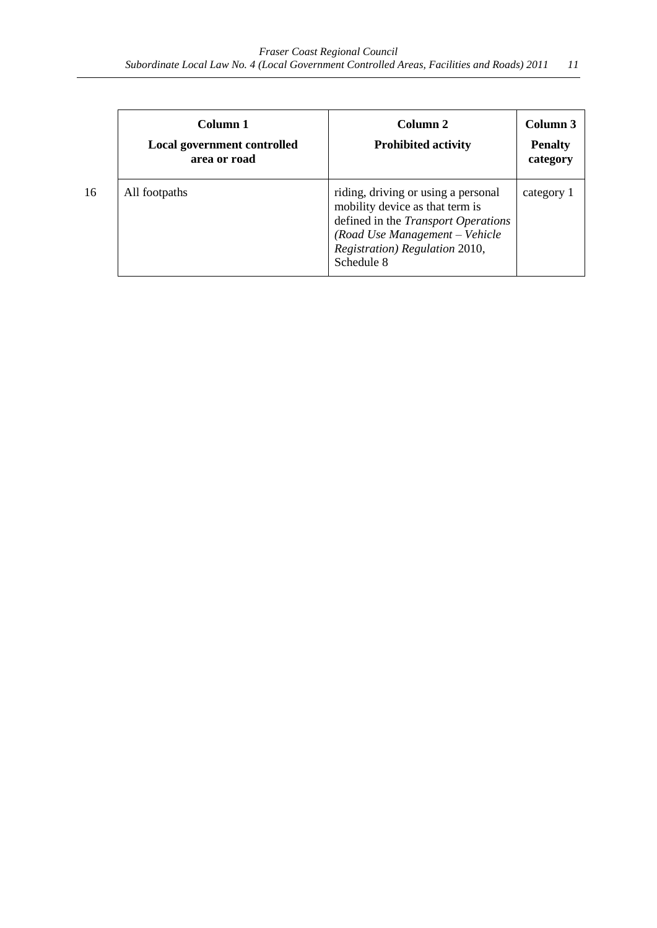| Column 1<br>Local government controlled<br>area or road | Column <sub>2</sub><br><b>Prohibited activity</b>                                                                                                                                                      | Column 3<br><b>Penalty</b><br>category |
|---------------------------------------------------------|--------------------------------------------------------------------------------------------------------------------------------------------------------------------------------------------------------|----------------------------------------|
| All footpaths                                           | riding, driving or using a personal<br>mobility device as that term is<br>defined in the <i>Transport Operations</i><br>(Road Use Management - Vehicle<br>Registration) Regulation 2010,<br>Schedule 8 | category 1                             |

 $16$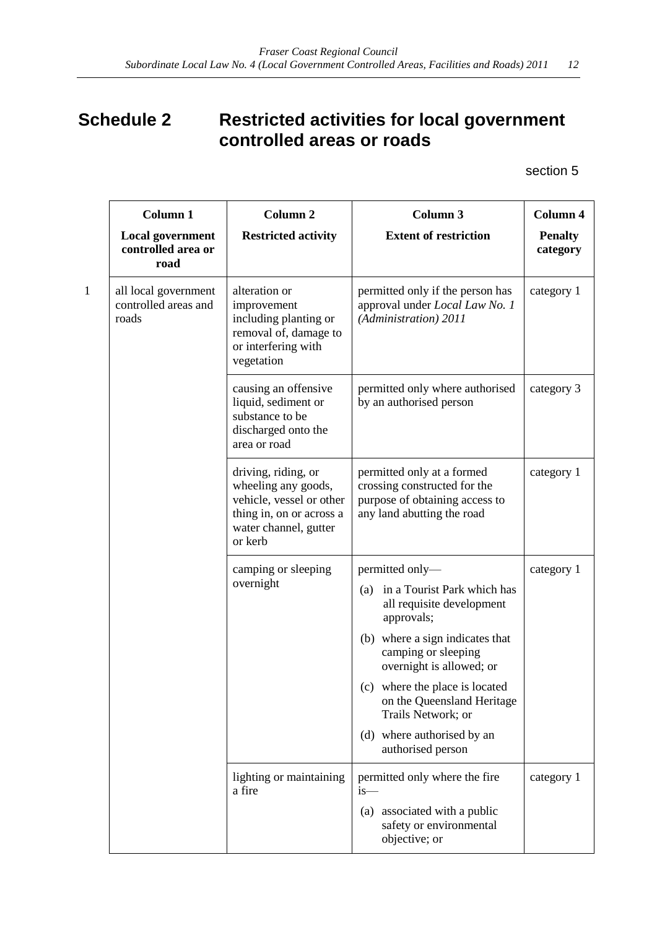# <span id="page-11-0"></span>**Schedule 2 Restricted activities for local government controlled areas or roads**

section 5

| Column 1                                              | <b>Column 2</b>                                                                                                                        | <b>Column 3</b>                                                                                                            | Column 4                   |
|-------------------------------------------------------|----------------------------------------------------------------------------------------------------------------------------------------|----------------------------------------------------------------------------------------------------------------------------|----------------------------|
| <b>Local government</b><br>controlled area or<br>road | <b>Restricted activity</b>                                                                                                             | <b>Extent of restriction</b>                                                                                               | <b>Penalty</b><br>category |
| all local government<br>controlled areas and<br>roads | alteration or<br>improvement<br>including planting or<br>removal of, damage to<br>or interfering with<br>vegetation                    | permitted only if the person has<br>approval under Local Law No. 1<br>(Administration) 2011                                | category 1                 |
|                                                       | causing an offensive<br>liquid, sediment or<br>substance to be<br>discharged onto the<br>area or road                                  | permitted only where authorised<br>by an authorised person                                                                 | category 3                 |
|                                                       | driving, riding, or<br>wheeling any goods,<br>vehicle, vessel or other<br>thing in, on or across a<br>water channel, gutter<br>or kerb | permitted only at a formed<br>crossing constructed for the<br>purpose of obtaining access to<br>any land abutting the road | category 1                 |
|                                                       | camping or sleeping<br>overnight                                                                                                       | permitted only-                                                                                                            | category 1                 |
|                                                       |                                                                                                                                        | (a) in a Tourist Park which has<br>all requisite development<br>approvals;                                                 |                            |
|                                                       |                                                                                                                                        | (b) where a sign indicates that<br>camping or sleeping<br>overnight is allowed; or                                         |                            |
|                                                       |                                                                                                                                        | (c) where the place is located<br>on the Queensland Heritage<br>Trails Network; or                                         |                            |
|                                                       |                                                                                                                                        | (d) where authorised by an<br>authorised person                                                                            |                            |
|                                                       | lighting or maintaining<br>a fire                                                                                                      | permitted only where the fire<br>$is-$                                                                                     | category 1                 |
|                                                       |                                                                                                                                        | (a) associated with a public<br>safety or environmental<br>objective; or                                                   |                            |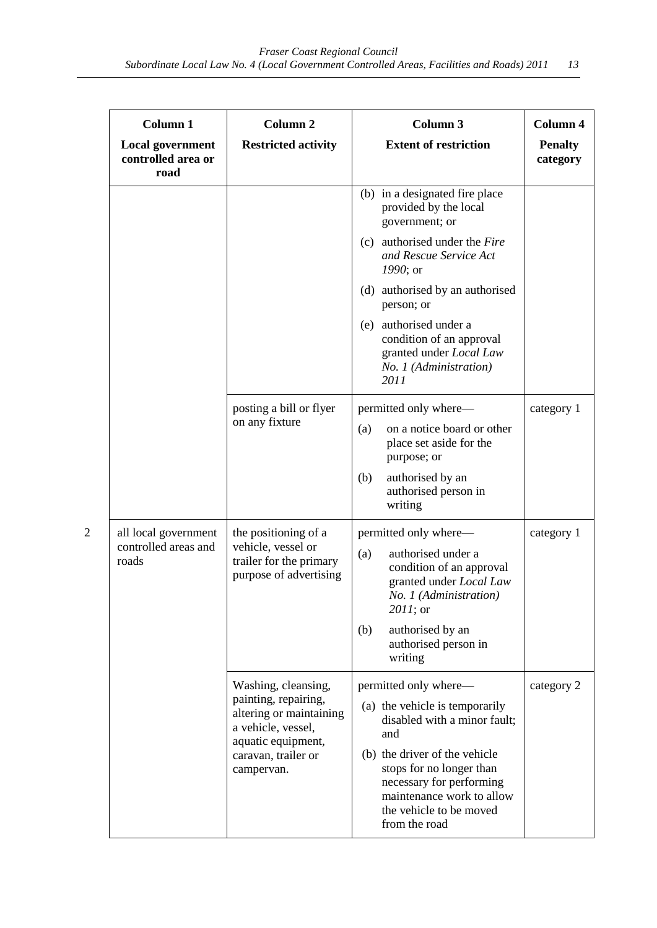|                | Column 1<br><b>Local government</b><br>controlled area or<br>road | Column <sub>2</sub><br><b>Restricted activity</b>                                                                  | Column 3<br><b>Extent of restriction</b>                                                                                                                       | Column 4<br><b>Penalty</b><br>category |
|----------------|-------------------------------------------------------------------|--------------------------------------------------------------------------------------------------------------------|----------------------------------------------------------------------------------------------------------------------------------------------------------------|----------------------------------------|
|                |                                                                   |                                                                                                                    | (b) in a designated fire place<br>provided by the local<br>government; or                                                                                      |                                        |
|                |                                                                   |                                                                                                                    | (c) authorised under the Fire<br>and Rescue Service Act<br>1990; or                                                                                            |                                        |
|                |                                                                   |                                                                                                                    | (d) authorised by an authorised<br>person; or                                                                                                                  |                                        |
|                |                                                                   |                                                                                                                    | (e) authorised under a<br>condition of an approval<br>granted under Local Law<br>No. 1 (Administration)<br>2011                                                |                                        |
|                |                                                                   | posting a bill or flyer<br>on any fixture                                                                          | permitted only where—<br>on a notice board or other<br>(a)<br>place set aside for the<br>purpose; or                                                           | category 1                             |
|                |                                                                   |                                                                                                                    | (b)<br>authorised by an<br>authorised person in<br>writing                                                                                                     |                                        |
| $\overline{c}$ | all local government<br>controlled areas and<br>roads             | the positioning of a<br>vehicle, vessel or<br>trailer for the primary<br>purpose of advertising                    | permitted only where—<br>authorised under a<br>(a)<br>condition of an approval<br>granted under Local Law<br>No. 1 (Administration)<br>2011; or                | category 1                             |
|                |                                                                   |                                                                                                                    | authorised by an<br>(b)<br>authorised person in<br>writing                                                                                                     |                                        |
|                |                                                                   | Washing, cleansing,<br>painting, repairing,<br>altering or maintaining<br>a vehicle, vessel,<br>aquatic equipment, | permitted only where—<br>(a) the vehicle is temporarily<br>disabled with a minor fault;<br>and                                                                 | category 2                             |
|                |                                                                   | caravan, trailer or<br>campervan.                                                                                  | (b) the driver of the vehicle<br>stops for no longer than<br>necessary for performing<br>maintenance work to allow<br>the vehicle to be moved<br>from the road |                                        |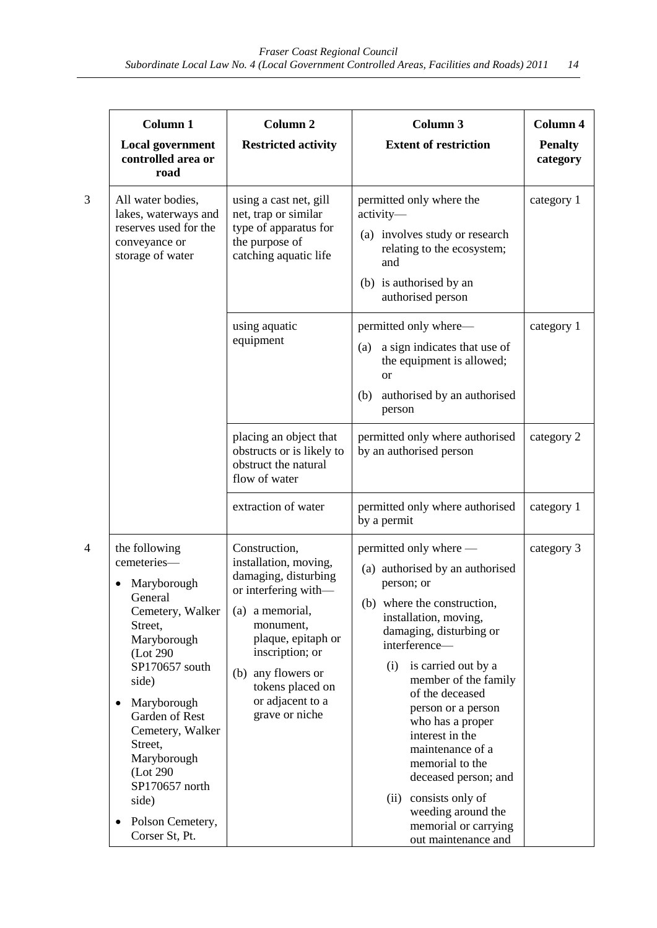| Column 1                                                                                                                                                                                                                                                                         | Column <sub>2</sub>                                                                                                                                                                                                                             | Column 3                                                                                                                                                                                                                                                                                                                                                                                                  | Column 4                   |
|----------------------------------------------------------------------------------------------------------------------------------------------------------------------------------------------------------------------------------------------------------------------------------|-------------------------------------------------------------------------------------------------------------------------------------------------------------------------------------------------------------------------------------------------|-----------------------------------------------------------------------------------------------------------------------------------------------------------------------------------------------------------------------------------------------------------------------------------------------------------------------------------------------------------------------------------------------------------|----------------------------|
| <b>Local government</b><br>controlled area or<br>road                                                                                                                                                                                                                            | <b>Restricted activity</b>                                                                                                                                                                                                                      | <b>Extent of restriction</b>                                                                                                                                                                                                                                                                                                                                                                              | <b>Penalty</b><br>category |
| All water bodies,<br>lakes, waterways and<br>reserves used for the<br>conveyance or<br>storage of water                                                                                                                                                                          | using a cast net, gill<br>net, trap or similar<br>type of apparatus for<br>the purpose of<br>catching aquatic life                                                                                                                              | permitted only where the<br>activity-<br>(a) involves study or research<br>relating to the ecosystem;<br>and<br>(b) is authorised by an<br>authorised person                                                                                                                                                                                                                                              | category 1                 |
|                                                                                                                                                                                                                                                                                  | using aquatic<br>equipment                                                                                                                                                                                                                      | permitted only where—<br>a sign indicates that use of<br>(a)<br>the equipment is allowed;<br><sub>or</sub><br>authorised by an authorised<br>(b)<br>person                                                                                                                                                                                                                                                | category 1                 |
|                                                                                                                                                                                                                                                                                  | placing an object that<br>obstructs or is likely to<br>obstruct the natural<br>flow of water                                                                                                                                                    | permitted only where authorised<br>by an authorised person                                                                                                                                                                                                                                                                                                                                                | category 2                 |
|                                                                                                                                                                                                                                                                                  | extraction of water                                                                                                                                                                                                                             | permitted only where authorised<br>by a permit                                                                                                                                                                                                                                                                                                                                                            | category 1                 |
| the following<br>cemeteries-<br>Maryborough<br>General<br>Cemetery, Walker<br>Street,<br>Maryborough<br>(Lot 290)<br>SP170657 south<br>side)<br>Maryborough<br>$\bullet$<br>Garden of Rest<br>Cemetery, Walker<br>Street,<br>Maryborough<br>(Lot 290)<br>SP170657 north<br>side) | Construction,<br>installation, moving,<br>damaging, disturbing<br>or interfering with—<br>(a) a memorial,<br>monument,<br>plaque, epitaph or<br>inscription; or<br>(b) any flowers or<br>tokens placed on<br>or adjacent to a<br>grave or niche | permitted only where —<br>(a) authorised by an authorised<br>person; or<br>(b) where the construction,<br>installation, moving,<br>damaging, disturbing or<br>interference-<br>is carried out by a<br>(i)<br>member of the family<br>of the deceased<br>person or a person<br>who has a proper<br>interest in the<br>maintenance of a<br>memorial to the<br>deceased person; and<br>(ii) consists only of | category 3                 |
| Polson Cemetery,<br>Corser St, Pt.                                                                                                                                                                                                                                               |                                                                                                                                                                                                                                                 | weeding around the<br>memorial or carrying<br>out maintenance and                                                                                                                                                                                                                                                                                                                                         |                            |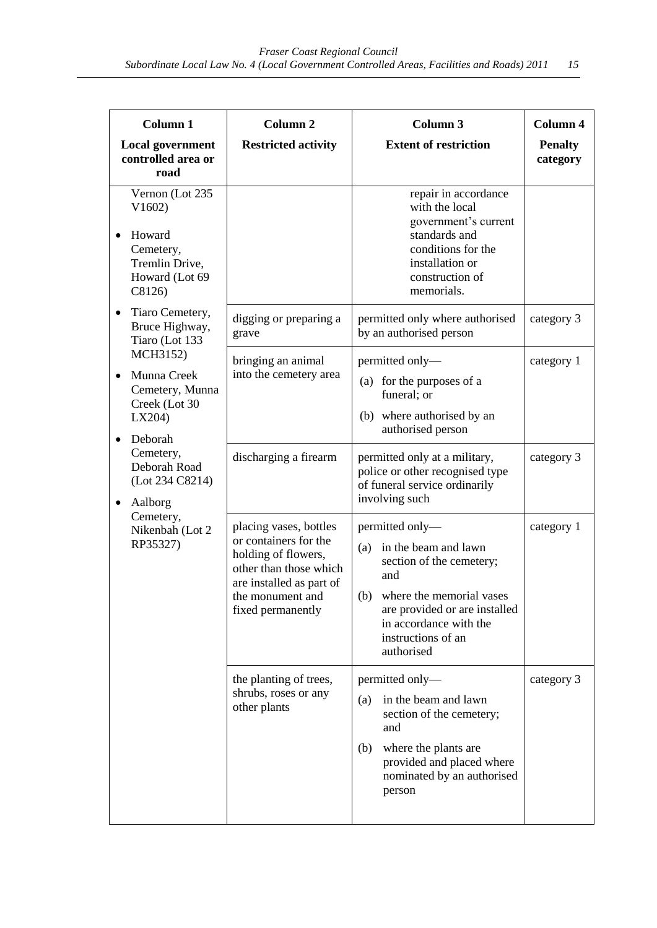| Column 1                                                                                     | Column <sub>2</sub>                                                                                                                                                   | Column 3                                                                                                                                                                                                         | Column 4                   |
|----------------------------------------------------------------------------------------------|-----------------------------------------------------------------------------------------------------------------------------------------------------------------------|------------------------------------------------------------------------------------------------------------------------------------------------------------------------------------------------------------------|----------------------------|
| <b>Local government</b><br>controlled area or<br>road                                        | <b>Restricted activity</b>                                                                                                                                            | <b>Extent of restriction</b>                                                                                                                                                                                     | <b>Penalty</b><br>category |
| Vernon (Lot 235<br>V1602<br>Howard<br>Cemetery,<br>Tremlin Drive,<br>Howard (Lot 69<br>C8126 |                                                                                                                                                                       | repair in accordance<br>with the local<br>government's current<br>standards and<br>conditions for the<br>installation or<br>construction of<br>memorials.                                                        |                            |
| Tiaro Cemetery,<br>Bruce Highway,<br>Tiaro (Lot 133                                          | digging or preparing a<br>grave                                                                                                                                       | permitted only where authorised<br>by an authorised person                                                                                                                                                       | category 3                 |
| MCH3152)<br>Munna Creek<br>Cemetery, Munna<br>Creek (Lot 30<br>LX204<br>Deborah              | bringing an animal<br>into the cemetery area                                                                                                                          | permitted only-<br>(a) for the purposes of a<br>funeral; or<br>(b) where authorised by an<br>authorised person                                                                                                   | category 1                 |
| Cemetery,<br>Deborah Road<br>(Lot 234 C8214)<br>Aalborg<br>٠                                 | discharging a firearm                                                                                                                                                 | permitted only at a military,<br>police or other recognised type<br>of funeral service ordinarily<br>involving such                                                                                              | category 3                 |
| Cemetery,<br>Nikenbah (Lot 2<br>RP35327)                                                     | placing vases, bottles<br>or containers for the<br>holding of flowers,<br>other than those which<br>are installed as part of<br>the monument and<br>fixed permanently | permitted only-<br>in the beam and lawn<br>(a)<br>section of the cemetery;<br>and<br>(b) where the memorial vases<br>are provided or are installed<br>in accordance with the<br>instructions of an<br>authorised | category 1                 |
|                                                                                              | the planting of trees,<br>shrubs, roses or any<br>other plants                                                                                                        | permitted only-<br>in the beam and lawn<br>(a)<br>section of the cemetery;<br>and<br>where the plants are<br>(b)<br>provided and placed where<br>nominated by an authorised<br>person                            | category 3                 |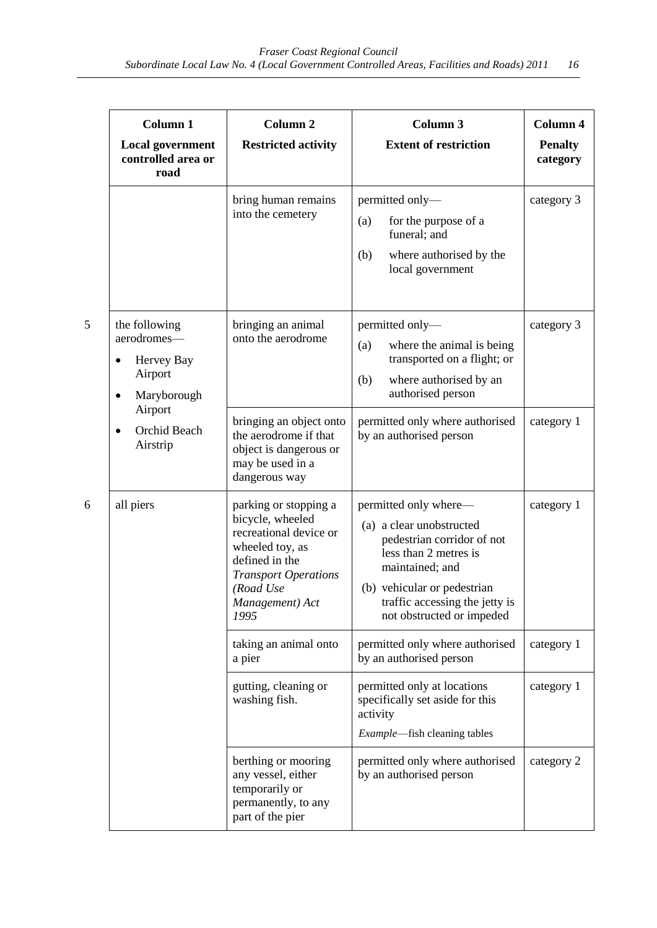| Column 1                                                                          | <b>Column 2</b>                                                                                                                                                                 | Column 3                                                                                                                                                                                                                  | Column 4                   |
|-----------------------------------------------------------------------------------|---------------------------------------------------------------------------------------------------------------------------------------------------------------------------------|---------------------------------------------------------------------------------------------------------------------------------------------------------------------------------------------------------------------------|----------------------------|
| <b>Local government</b><br>controlled area or<br>road                             | <b>Restricted activity</b>                                                                                                                                                      | <b>Extent of restriction</b>                                                                                                                                                                                              | <b>Penalty</b><br>category |
|                                                                                   | bring human remains<br>into the cemetery                                                                                                                                        | permitted only-<br>(a)<br>for the purpose of a<br>funeral; and<br>where authorised by the<br>(b)<br>local government                                                                                                      | category 3                 |
| the following<br>aerodromes-<br>Hervey Bay<br>$\bullet$<br>Airport<br>Maryborough | bringing an animal<br>onto the aerodrome                                                                                                                                        | permitted only-<br>(a)<br>where the animal is being<br>transported on a flight; or<br>(b)<br>where authorised by an<br>authorised person                                                                                  | category 3                 |
| Airport<br>Orchid Beach<br>Airstrip                                               | bringing an object onto<br>the aerodrome if that<br>object is dangerous or<br>may be used in a<br>dangerous way                                                                 | permitted only where authorised<br>by an authorised person                                                                                                                                                                | category 1                 |
| all piers                                                                         | parking or stopping a<br>bicycle, wheeled<br>recreational device or<br>wheeled toy, as<br>defined in the<br><b>Transport Operations</b><br>(Road Use<br>Management) Act<br>1995 | permitted only where—<br>(a) a clear unobstructed<br>pedestrian corridor of not<br>less than 2 metres is<br>maintained; and<br>(b) vehicular or pedestrian<br>traffic accessing the jetty is<br>not obstructed or impeded | category 1                 |
|                                                                                   | taking an animal onto<br>a pier                                                                                                                                                 | permitted only where authorised<br>by an authorised person                                                                                                                                                                | category 1                 |
|                                                                                   | gutting, cleaning or<br>washing fish.                                                                                                                                           | permitted only at locations<br>specifically set aside for this<br>activity<br>Example-fish cleaning tables                                                                                                                | category 1                 |
|                                                                                   | berthing or mooring<br>any vessel, either<br>temporarily or<br>permanently, to any<br>part of the pier                                                                          | permitted only where authorised<br>by an authorised person                                                                                                                                                                | category 2                 |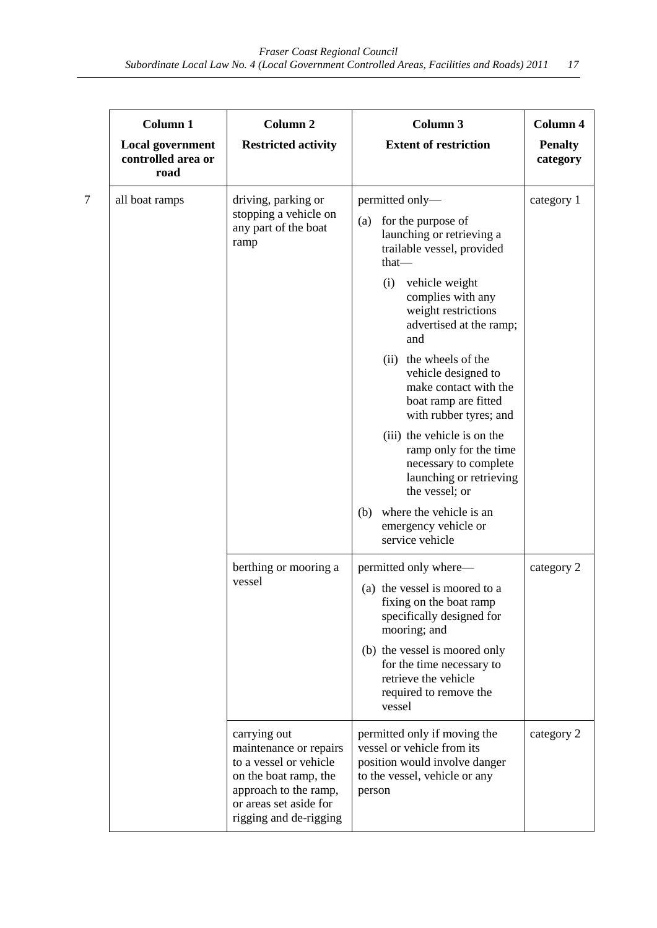| <b>Column 1</b>                                       | Column <sub>2</sub>                                                                                                                                                    | <b>Column 3</b>                                                                                                                        | Column 4                   |
|-------------------------------------------------------|------------------------------------------------------------------------------------------------------------------------------------------------------------------------|----------------------------------------------------------------------------------------------------------------------------------------|----------------------------|
| <b>Local government</b><br>controlled area or<br>road | <b>Restricted activity</b>                                                                                                                                             | <b>Extent of restriction</b>                                                                                                           | <b>Penalty</b><br>category |
| all boat ramps                                        | driving, parking or                                                                                                                                                    | permitted only-                                                                                                                        | category 1                 |
|                                                       | stopping a vehicle on<br>any part of the boat<br>ramp                                                                                                                  | for the purpose of<br>(a)<br>launching or retrieving a<br>trailable vessel, provided<br>that-                                          |                            |
|                                                       |                                                                                                                                                                        | vehicle weight<br>(i)<br>complies with any<br>weight restrictions<br>advertised at the ramp;<br>and                                    |                            |
|                                                       |                                                                                                                                                                        | (ii) the wheels of the<br>vehicle designed to<br>make contact with the<br>boat ramp are fitted<br>with rubber tyres; and               |                            |
|                                                       |                                                                                                                                                                        | (iii) the vehicle is on the<br>ramp only for the time<br>necessary to complete<br>launching or retrieving<br>the vessel; or            |                            |
|                                                       |                                                                                                                                                                        | (b) where the vehicle is an<br>emergency vehicle or<br>service vehicle                                                                 |                            |
|                                                       | berthing or mooring a<br>vessel                                                                                                                                        | permitted only where—                                                                                                                  | category 2                 |
|                                                       |                                                                                                                                                                        | (a) the vessel is moored to a<br>fixing on the boat ramp<br>specifically designed for<br>mooring; and                                  |                            |
|                                                       |                                                                                                                                                                        | (b) the vessel is moored only<br>for the time necessary to<br>retrieve the vehicle<br>required to remove the<br>vessel                 |                            |
|                                                       | carrying out<br>maintenance or repairs<br>to a vessel or vehicle<br>on the boat ramp, the<br>approach to the ramp,<br>or areas set aside for<br>rigging and de-rigging | permitted only if moving the<br>vessel or vehicle from its<br>position would involve danger<br>to the vessel, vehicle or any<br>person | category 2                 |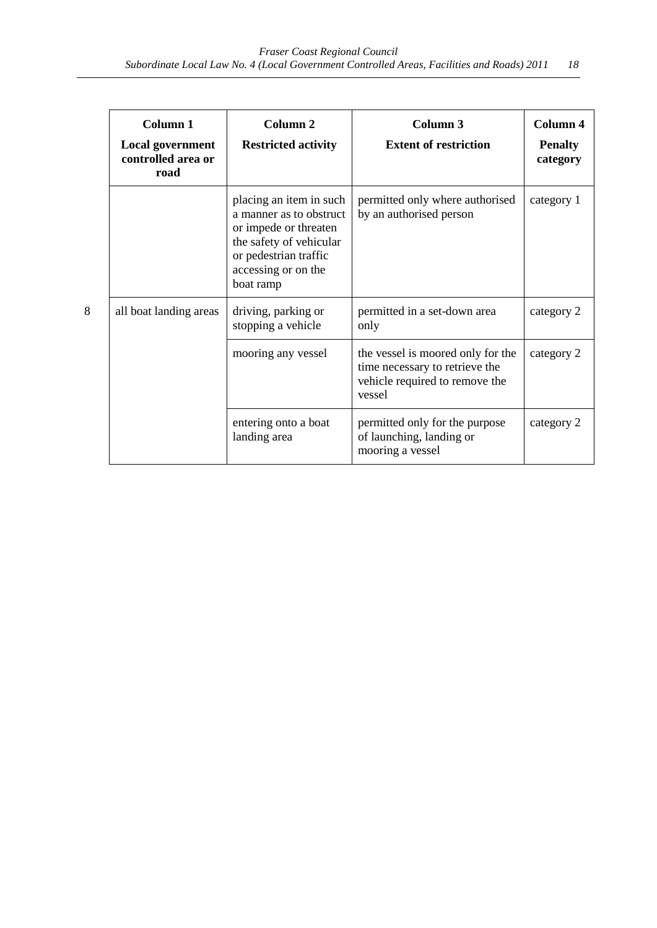|   | <b>Column 1</b><br><b>Local government</b><br>controlled area or<br>road | Column <sub>2</sub><br><b>Restricted activity</b>                                                                                                                   | Column <sub>3</sub><br><b>Extent of restriction</b>                                                             | Column 4<br><b>Penalty</b><br>category |
|---|--------------------------------------------------------------------------|---------------------------------------------------------------------------------------------------------------------------------------------------------------------|-----------------------------------------------------------------------------------------------------------------|----------------------------------------|
|   |                                                                          | placing an item in such<br>a manner as to obstruct<br>or impede or threaten<br>the safety of vehicular<br>or pedestrian traffic<br>accessing or on the<br>boat ramp | permitted only where authorised<br>by an authorised person                                                      | category 1                             |
| 8 | all boat landing areas                                                   | driving, parking or<br>stopping a vehicle                                                                                                                           | permitted in a set-down area<br>only                                                                            | category 2                             |
|   |                                                                          | mooring any vessel                                                                                                                                                  | the vessel is moored only for the<br>time necessary to retrieve the<br>vehicle required to remove the<br>vessel | category 2                             |
|   |                                                                          | entering onto a boat<br>landing area                                                                                                                                | permitted only for the purpose<br>of launching, landing or<br>mooring a vessel                                  | category 2                             |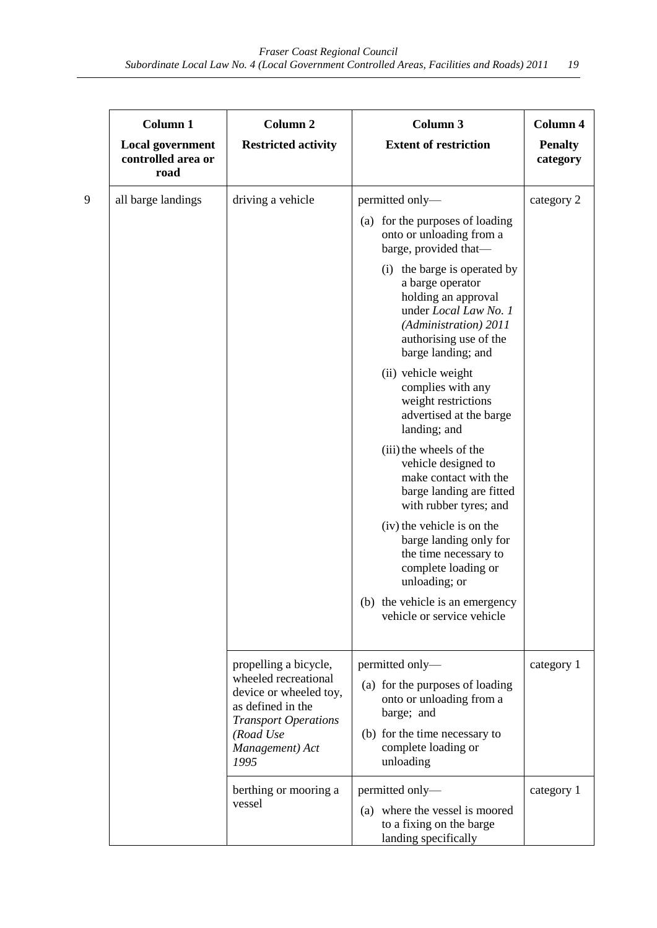| Column 1                                              | Column <sub>2</sub>                                                                                | Column 3                                                                                                                                                                  | Column 4                   |
|-------------------------------------------------------|----------------------------------------------------------------------------------------------------|---------------------------------------------------------------------------------------------------------------------------------------------------------------------------|----------------------------|
| <b>Local government</b><br>controlled area or<br>road | <b>Restricted activity</b>                                                                         | <b>Extent of restriction</b>                                                                                                                                              | <b>Penalty</b><br>category |
| all barge landings                                    | driving a vehicle                                                                                  | permitted only-                                                                                                                                                           | category 2                 |
|                                                       |                                                                                                    | (a) for the purposes of loading<br>onto or unloading from a<br>barge, provided that-                                                                                      |                            |
|                                                       |                                                                                                    | (i) the barge is operated by<br>a barge operator<br>holding an approval<br>under Local Law No. 1<br>(Administration) 2011<br>authorising use of the<br>barge landing; and |                            |
|                                                       |                                                                                                    | (ii) vehicle weight<br>complies with any<br>weight restrictions<br>advertised at the barge<br>landing; and                                                                |                            |
|                                                       |                                                                                                    | (iii) the wheels of the<br>vehicle designed to<br>make contact with the<br>barge landing are fitted<br>with rubber tyres; and                                             |                            |
|                                                       |                                                                                                    | (iv) the vehicle is on the<br>barge landing only for<br>the time necessary to<br>complete loading or<br>unloading; or                                                     |                            |
|                                                       |                                                                                                    | (b) the vehicle is an emergency<br>vehicle or service vehicle                                                                                                             |                            |
|                                                       | propelling a bicycle,                                                                              | permitted only-                                                                                                                                                           | category 1                 |
|                                                       | wheeled recreational<br>device or wheeled toy,<br>as defined in the<br><b>Transport Operations</b> | (a) for the purposes of loading<br>onto or unloading from a<br>barge; and                                                                                                 |                            |
|                                                       | (Road Use<br>Management) Act<br>1995                                                               | (b) for the time necessary to<br>complete loading or<br>unloading                                                                                                         |                            |
|                                                       | berthing or mooring a<br>vessel                                                                    | permitted only-<br>(a) where the vessel is moored<br>to a fixing on the barge<br>landing specifically                                                                     | category 1                 |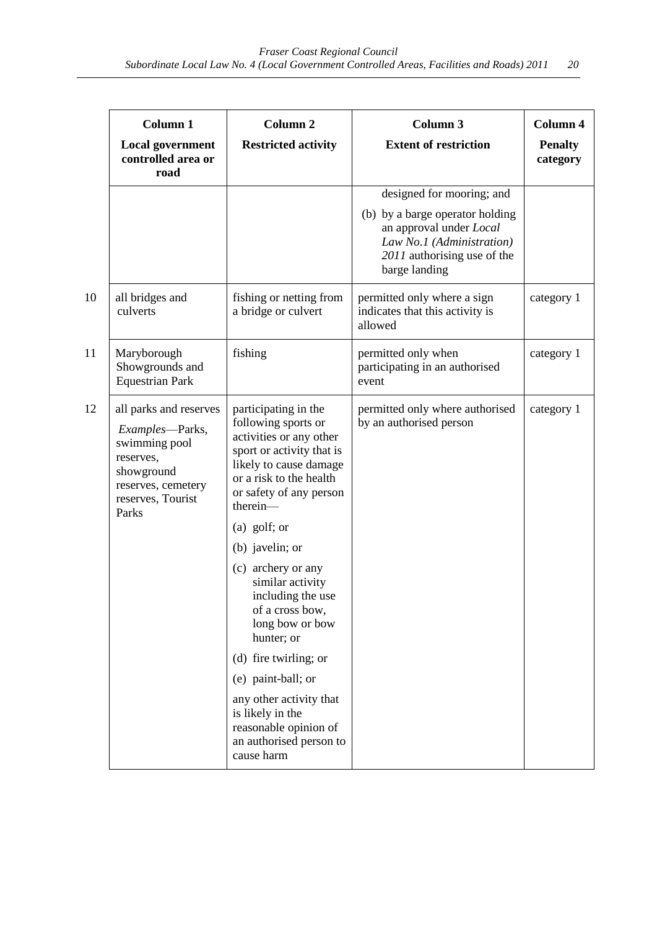|    | Column 1                                                                                                                                  | <b>Column 2</b>                                                                                                                                                                                                                                                                                                                                                                                      | Column 3                                                                                                                                | Column 4                   |
|----|-------------------------------------------------------------------------------------------------------------------------------------------|------------------------------------------------------------------------------------------------------------------------------------------------------------------------------------------------------------------------------------------------------------------------------------------------------------------------------------------------------------------------------------------------------|-----------------------------------------------------------------------------------------------------------------------------------------|----------------------------|
|    | <b>Local government</b><br>controlled area or<br>road                                                                                     | <b>Restricted activity</b>                                                                                                                                                                                                                                                                                                                                                                           | <b>Extent of restriction</b>                                                                                                            | <b>Penalty</b><br>category |
|    |                                                                                                                                           |                                                                                                                                                                                                                                                                                                                                                                                                      | designed for mooring; and                                                                                                               |                            |
|    |                                                                                                                                           |                                                                                                                                                                                                                                                                                                                                                                                                      | (b) by a barge operator holding<br>an approval under Local<br>Law No.1 (Administration)<br>2011 authorising use of the<br>barge landing |                            |
| 10 | all bridges and<br>culverts                                                                                                               | fishing or netting from<br>a bridge or culvert                                                                                                                                                                                                                                                                                                                                                       | permitted only where a sign<br>indicates that this activity is<br>allowed                                                               | category 1                 |
| 11 | Maryborough<br>Showgrounds and<br><b>Equestrian Park</b>                                                                                  | fishing                                                                                                                                                                                                                                                                                                                                                                                              | permitted only when<br>participating in an authorised<br>event                                                                          | category 1                 |
| 12 | all parks and reserves<br>Examples-Parks,<br>swimming pool<br>reserves,<br>showground<br>reserves, cemetery<br>reserves, Tourist<br>Parks | participating in the<br>following sports or<br>activities or any other<br>sport or activity that is<br>likely to cause damage<br>or a risk to the health<br>or safety of any person<br>therein-<br>(a) golf; or<br>(b) javelin; or<br>(c) archery or any<br>similar activity<br>including the use<br>of a cross bow,<br>long bow or bow<br>hunter; or<br>(d) fire twirling; or<br>(e) paint-ball; or | permitted only where authorised<br>by an authorised person                                                                              | category 1                 |
|    |                                                                                                                                           | any other activity that<br>is likely in the<br>reasonable opinion of<br>an authorised person to<br>cause harm                                                                                                                                                                                                                                                                                        |                                                                                                                                         |                            |